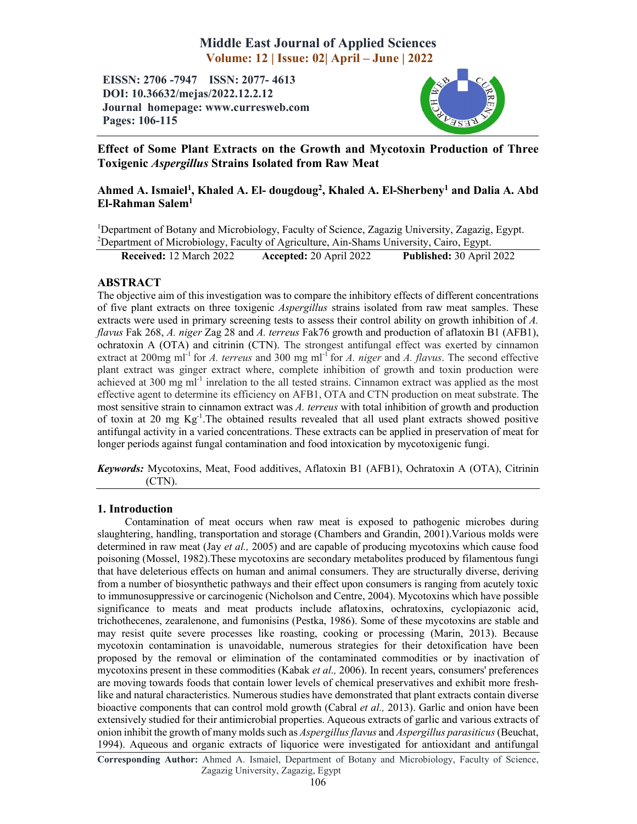# Middle East Journal of Applied Sciences Volume: 12 | Issue: 02| April – June | 2022

EISSN: 2706 -7947 ISSN: 2077- 4613 DOI: 10.36632/mejas/2022.12.2.12 Journal homepage: www.curresweb.com Pages: 106-115



# Effect of Some Plant Extracts on the Growth and Mycotoxin Production of Three Toxigenic *Aspergillus* Strains Isolated from Raw Meat

# Ahmed A. Ismaiel<sup>1</sup>, Khaled A. El- dougdoug<sup>2</sup>, Khaled A. El-Sherbeny<sup>1</sup> and Dalia A. Abd El-Rahman Salem1

<sup>1</sup>Department of Botany and Microbiology, Faculty of Science, Zagazig University, Zagazig, Egypt. <sup>2</sup>Department of Microbiology, Faculty of Agriculture, Ain-Shams University, Cairo, Egypt.

Received: 12 March 2022 Accepted: 20 April 2022 Published: 30 April 2022

# ABSTRACT

The objective aim of this investigation was to compare the inhibitory effects of different concentrations of five plant extracts on three toxigenic *Aspergillus* strains isolated from raw meat samples. These extracts were used in primary screening tests to assess their control ability on growth inhibition of *A. flavus* Fak 268, *A. niger* Zag 28 and *A. terreus* Fak76 growth and production of aflatoxin B1 (AFB1), ochratoxin A (OTA) and citrinin (CTN). The strongest antifungal effect was exerted by cinnamon extract at 200mg ml-1 for *A. terreus* and 300 mg ml-1 for *A. niger* and *A. flavus*. The second effective plant extract was ginger extract where, complete inhibition of growth and toxin production were achieved at  $300 \text{ mg ml}^{-1}$  inrelation to the all tested strains. Cinnamon extract was applied as the most effective agent to determine its efficiency on AFB1, OTA and CTN production on meat substrate. The most sensitive strain to cinnamon extract was *A. terreus* with total inhibition of growth and production of toxin at 20 mg Kg<sup>-1</sup>. The obtained results revealed that all used plant extracts showed positive antifungal activity in a varied concentrations. These extracts can be applied in preservation of meat for longer periods against fungal contamination and food intoxication by mycotoxigenic fungi.

*Keywords:* Mycotoxins, Meat, Food additives, Aflatoxin B1 (AFB1), Ochratoxin A (OTA), Citrinin (CTN).

# 1. Introduction

Contamination of meat occurs when raw meat is exposed to pathogenic microbes during slaughtering, handling, transportation and storage (Chambers and Grandin, 2001).Various molds were determined in raw meat (Jay *et al.,* 2005) and are capable of producing mycotoxins which cause food poisoning (Mossel, 1982).These mycotoxins are secondary metabolites produced by filamentous fungi that have deleterious effects on human and animal consumers. They are structurally diverse, deriving from a number of biosynthetic pathways and their effect upon consumers is ranging from acutely toxic to immunosuppressive or carcinogenic (Nicholson and Centre, 2004). Mycotoxins which have possible significance to meats and meat products include aflatoxins, ochratoxins, cyclopiazonic acid, trichothecenes, zearalenone, and fumonisins (Pestka, 1986). Some of these mycotoxins are stable and may resist quite severe processes like roasting, cooking or processing (Marin, 2013). Because mycotoxin contamination is unavoidable, numerous strategies for their detoxification have been proposed by the removal or elimination of the contaminated commodities or by inactivation of mycotoxins present in these commodities (Kabak *et al.,* 2006). In recent years, consumers' preferences are moving towards foods that contain lower levels of chemical preservatives and exhibit more freshlike and natural characteristics. Numerous studies have demonstrated that plant extracts contain diverse bioactive components that can control mold growth (Cabral *et al.,* 2013). Garlic and onion have been extensively studied for their antimicrobial properties. Aqueous extracts of garlic and various extracts of onion inhibit the growth of many molds such as *Aspergillusflavus* and *Aspergillus parasiticus* (Beuchat, 1994). Aqueous and organic extracts of liquorice were investigated for antioxidant and antifungal

Corresponding Author: Ahmed A. Ismaiel, Department of Botany and Microbiology, Faculty of Science, Zagazig University, Zagazig, Egypt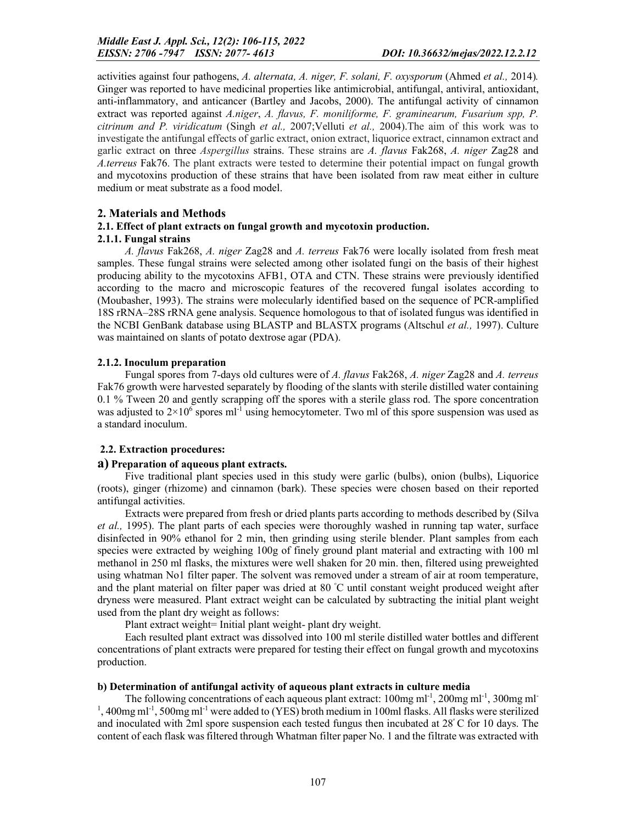activities against four pathogens, *A. alternata, A. niger, F. solani, F. oxysporum* (Ahmed *et al.,* 2014)*.*  Ginger was reported to have medicinal properties like antimicrobial, antifungal, antiviral, antioxidant, anti-inflammatory, and anticancer (Bartley and Jacobs, 2000). The antifungal activity of cinnamon extract was reported against *A.niger*, *A. flavus, F. moniliforme, F. graminearum, Fusarium spp, P. citrinum and P. viridicatum* (Singh *et al.,* 2007;Velluti *et al.,* 2004).The aim of this work was to investigate the antifungal effects of garlic extract, onion extract, liquorice extract, cinnamon extract and garlic extract on three *Aspergillus* strains. These strains are *A. flavus* Fak268, *A. niger* Zag28 and *A.terreus* Fak76. The plant extracts were tested to determine their potential impact on fungal growth and mycotoxins production of these strains that have been isolated from raw meat either in culture medium or meat substrate as a food model.

# 2. Materials and Methods

# 2.1. Effect of plant extracts on fungal growth and mycotoxin production.

# 2.1.1. Fungal strains

*A. flavus* Fak268, *A. niger* Zag28 and *A. terreus* Fak76 were locally isolated from fresh meat samples. These fungal strains were selected among other isolated fungi on the basis of their highest producing ability to the mycotoxins AFB1, OTA and CTN. These strains were previously identified according to the macro and microscopic features of the recovered fungal isolates according to (Moubasher, 1993). The strains were molecularly identified based on the sequence of PCR-amplified 18S rRNA–28S rRNA gene analysis. Sequence homologous to that of isolated fungus was identified in the NCBI GenBank database using BLASTP and BLASTX programs (Altschul *et al.,* 1997). Culture was maintained on slants of potato dextrose agar (PDA).

# 2.1.2. Inoculum preparation

Fungal spores from 7-days old cultures were of *A. flavus* Fak268, *A. niger* Zag28 and *A. terreus* Fak76 growth were harvested separately by flooding of the slants with sterile distilled water containing 0.1 % Tween 20 and gently scrapping off the spores with a sterile glass rod. The spore concentration was adjusted to  $2\times10^6$  spores ml<sup>-1</sup> using hemocytometer. Two ml of this spore suspension was used as a standard inoculum.

# 2.2. Extraction procedures:

# a) Preparation of aqueous plant extracts.

Five traditional plant species used in this study were garlic (bulbs), onion (bulbs), Liquorice (roots), ginger (rhizome) and cinnamon (bark). These species were chosen based on their reported antifungal activities.

Extracts were prepared from fresh or dried plants parts according to methods described by (Silva *et al.,* 1995). The plant parts of each species were thoroughly washed in running tap water, surface disinfected in 90% ethanol for 2 min, then grinding using sterile blender. Plant samples from each species were extracted by weighing 100g of finely ground plant material and extracting with 100 ml methanol in 250 ml flasks, the mixtures were well shaken for 20 min. then, filtered using preweighted using whatman No1 filter paper. The solvent was removed under a stream of air at room temperature, and the plant material on filter paper was dried at 80 °C until constant weight produced weight after dryness were measured. Plant extract weight can be calculated by subtracting the initial plant weight used from the plant dry weight as follows:

Plant extract weight= Initial plant weight- plant dry weight.

Each resulted plant extract was dissolved into 100 ml sterile distilled water bottles and different concentrations of plant extracts were prepared for testing their effect on fungal growth and mycotoxins production.

# b) Determination of antifungal activity of aqueous plant extracts in culture media

The following concentrations of each aqueous plant extract:  $100$ mg ml<sup>-1</sup>,  $200$ mg ml<sup>-1</sup>,  $300$ mg ml<sup>-</sup>  $1$ , 400mg ml<sup>-1</sup>, 500mg ml<sup>-1</sup> were added to (YES) broth medium in 100ml flasks. All flasks were sterilized and inoculated with 2ml spore suspension each tested fungus then incubated at 28ᵒ C for 10 days. The content of each flask was filtered through Whatman filter paper No. 1 and the filtrate was extracted with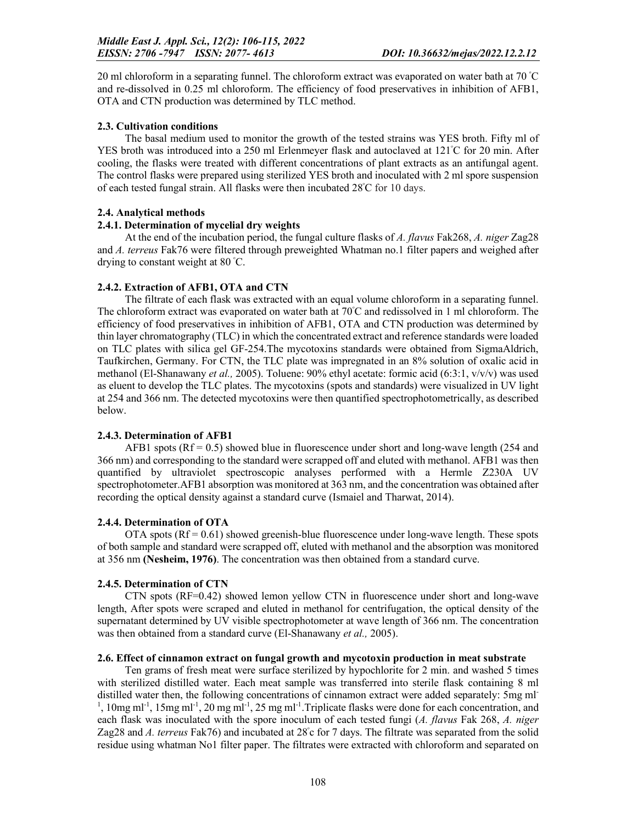20 ml chloroform in a separating funnel. The chloroform extract was evaporated on water bath at 70 °C and re-dissolved in 0.25 ml chloroform. The efficiency of food preservatives in inhibition of AFB1, OTA and CTN production was determined by TLC method.

### 2.3. Cultivation conditions

The basal medium used to monitor the growth of the tested strains was YES broth. Fifty ml of YES broth was introduced into a 250 ml Erlenmeyer flask and autoclaved at 121°C for 20 min. After cooling, the flasks were treated with different concentrations of plant extracts as an antifungal agent. The control flasks were prepared using sterilized YES broth and inoculated with 2 ml spore suspension of each tested fungal strain. All flasks were then incubated 28°C for 10 days.

# 2.4. Analytical methods

### 2.4.1. Determination of mycelial dry weights

At the end of the incubation period, the fungal culture flasks of *A. flavus* Fak268, *A. niger* Zag28 and *A. terreus* Fak76 were filtered through preweighted Whatman no.1 filter papers and weighed after drying to constant weight at 80 °C.

### 2.4.2. Extraction of AFB1, OTA and CTN

The filtrate of each flask was extracted with an equal volume chloroform in a separating funnel. The chloroform extract was evaporated on water bath at 70°C and redissolved in 1 ml chloroform. The efficiency of food preservatives in inhibition of AFB1, OTA and CTN production was determined by thin layer chromatography (TLC) in which the concentrated extract and reference standards were loaded on TLC plates with silica gel GF-254.The mycotoxins standards were obtained from SigmaAldrich, Taufkirchen, Germany. For CTN, the TLC plate was impregnated in an 8% solution of oxalic acid in methanol (El-Shanawany *et al.,* 2005). Toluene: 90% ethyl acetate: formic acid (6:3:1, v/v/v) was used as eluent to develop the TLC plates. The mycotoxins (spots and standards) were visualized in UV light at 254 and 366 nm. The detected mycotoxins were then quantified spectrophotometrically, as described below.

#### 2.4.3. Determination of AFB1

AFB1 spots ( $Rf = 0.5$ ) showed blue in fluorescence under short and long-wave length (254 and 366 nm) and corresponding to the standard were scrapped off and eluted with methanol. AFB1 was then quantified by ultraviolet spectroscopic analyses performed with a Hermle Z230A UV spectrophotometer.AFB1 absorption was monitored at 363 nm, and the concentration was obtained after recording the optical density against a standard curve (Ismaiel and Tharwat, 2014).

#### 2.4.4. Determination of OTA

OTA spots  $(Rf = 0.61)$  showed greenish-blue fluorescence under long-wave length. These spots of both sample and standard were scrapped off, eluted with methanol and the absorption was monitored at 356 nm (Nesheim, 1976). The concentration was then obtained from a standard curve.

# 2.4.5. Determination of CTN

CTN spots (RF=0.42) showed lemon yellow CTN in fluorescence under short and long-wave length, After spots were scraped and eluted in methanol for centrifugation, the optical density of the supernatant determined by UV visible spectrophotometer at wave length of 366 nm. The concentration was then obtained from a standard curve (El-Shanawany *et al.,* 2005).

#### 2.6. Effect of cinnamon extract on fungal growth and mycotoxin production in meat substrate

Ten grams of fresh meat were surface sterilized by hypochlorite for 2 min. and washed 5 times with sterilized distilled water. Each meat sample was transferred into sterile flask containing 8 ml distilled water then, the following concentrations of cinnamon extract were added separately: 5mg ml-<sup>1</sup>, 10mg ml<sup>-1</sup>, 15mg ml<sup>-1</sup>, 20 mg ml<sup>-1</sup>, 25 mg ml<sup>-1</sup>. Triplicate flasks were done for each concentration, and each flask was inoculated with the spore inoculum of each tested fungi (*A. flavus* Fak 268, *A. niger* Zag28 and A. terreus Fak76) and incubated at 28°c for 7 days. The filtrate was separated from the solid residue using whatman No1 filter paper. The filtrates were extracted with chloroform and separated on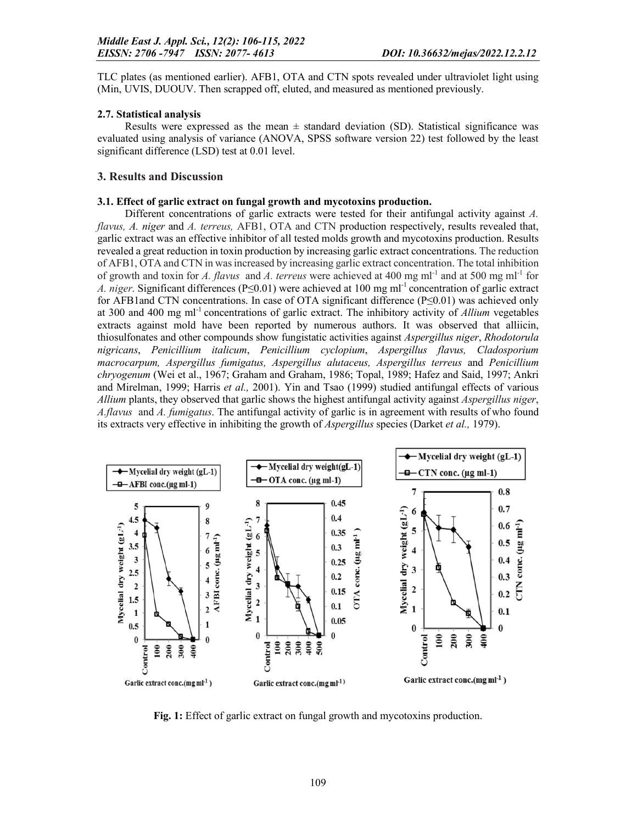TLC plates (as mentioned earlier). AFB1, OTA and CTN spots revealed under ultraviolet light using (Min, UVIS, DUOUV. Then scrapped off, eluted, and measured as mentioned previously.

### 2.7. Statistical analysis

Results were expressed as the mean  $\pm$  standard deviation (SD). Statistical significance was evaluated using analysis of variance (ANOVA, SPSS software version 22) test followed by the least significant difference (LSD) test at 0.01 level.

## 3. Results and Discussion

### 3.1. Effect of garlic extract on fungal growth and mycotoxins production.

Different concentrations of garlic extracts were tested for their antifungal activity against *A. flavus, A. niger* and *A. terreus,* AFB1, OTA and CTN production respectively, results revealed that, garlic extract was an effective inhibitor of all tested molds growth and mycotoxins production. Results revealed a great reduction in toxin production by increasing garlic extract concentrations. The reduction of AFB1, OTA and CTN in was increased by increasing garlic extract concentration. The total inhibition of growth and toxin for *A. flavus* and *A. terreus* were achieved at 400 mg ml<sup>-1</sup> and at 500 mg ml<sup>-1</sup> for *A. niger.* Significant differences (P≤0.01) were achieved at 100 mg ml<sup>-1</sup> concentration of garlic extract for AFB1and CTN concentrations. In case of OTA significant difference (P≤0.01) was achieved only at 300 and 400 mg ml-1 concentrations of garlic extract. The inhibitory activity of *Allium* vegetables extracts against mold have been reported by numerous authors. It was observed that alliicin, thiosulfonates and other compounds show fungistatic activities against *Aspergillus niger*, *Rhodotorula nigricans*, *Penicillium italicum*, *Penicillium cyclopium*, *Aspergillus flavus, Cladosporium macrocarpum, Aspergillus fumigatus, Aspergillus alutaceus, Aspergillus terreus* and *Penicillium chryogenum* (Wei et al., 1967; Graham and Graham, 1986; Topal, 1989; Hafez and Said, 1997; Ankri and Mirelman, 1999; Harris *et al.,* 2001). Yin and Tsao (1999) studied antifungal effects of various *Allium* plants, they observed that garlic shows the highest antifungal activity against *Aspergillus niger*, *A.flavus* and *A. fumigatus*. The antifungal activity of garlic is in agreement with results of who found its extracts very effective in inhibiting the growth of *Aspergillus* species (Darket *et al.,* 1979).



Fig. 1: Effect of garlic extract on fungal growth and mycotoxins production.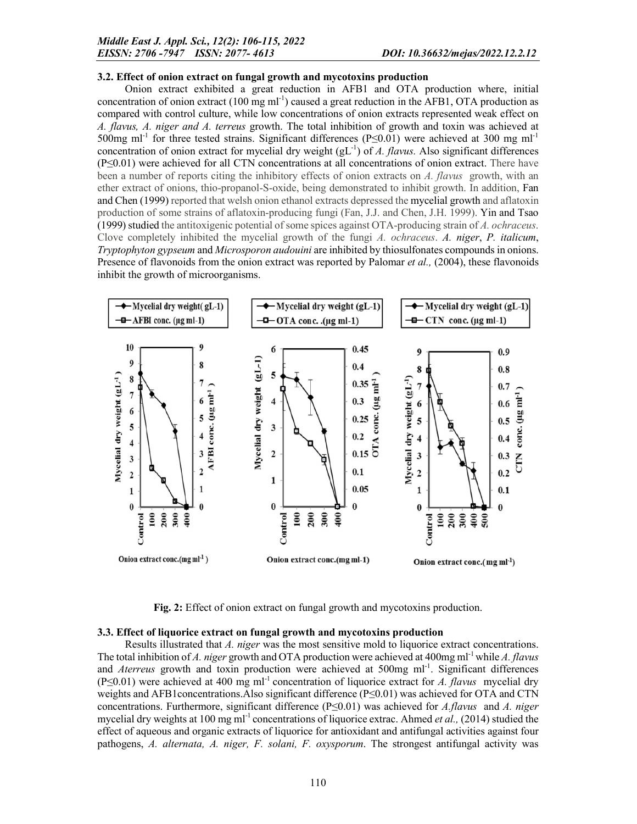#### 3.2. Effect of onion extract on fungal growth and mycotoxins production

Onion extract exhibited a great reduction in AFB1 and OTA production where, initial concentration of onion extract  $(100 \text{ mg ml}^{-1})$  caused a great reduction in the AFB1, OTA production as compared with control culture, while low concentrations of onion extracts represented weak effect on *A. flavus, A. niger and A. terreus* growth. The total inhibition of growth and toxin was achieved at 500mg ml<sup>-1</sup> for three tested strains. Significant differences (P≤0.01) were achieved at 300 mg ml<sup>-1</sup> concentration of onion extract for mycelial dry weight (gL<sup>-1</sup>) of *A. flavus*. Also significant differences (P≤0.01) were achieved for all CTN concentrations at all concentrations of onion extract. There have been a number of reports citing the inhibitory effects of onion extracts on *A. flavus* growth, with an ether extract of onions, thio-propanol-S-oxide, being demonstrated to inhibit growth. In addition, Fan and Chen (1999) reported that welsh onion ethanol extracts depressed the mycelial growth and aflatoxin production of some strains of aflatoxin-producing fungi (Fan, J.J. and Chen, J.H. 1999). Yin and Tsao (1999) studied the antitoxigenic potential of some spices against OTA-producing strain of *A. ochraceus*. Clove completely inhibited the mycelial growth of the fungi *A. ochraceus*. *A. niger*, *P. italicum*, *Tryptophyton gypseum* and *Microsporon audouini* are inhibited by thiosulfonates compounds in onions. Presence of flavonoids from the onion extract was reported by Palomar *et al.,* (2004), these flavonoids inhibit the growth of microorganisms.



Fig. 2: Effect of onion extract on fungal growth and mycotoxins production.

#### 3.3. Effect of liquorice extract on fungal growth and mycotoxins production

Results illustrated that *A. niger* was the most sensitive mold to liquorice extract concentrations. The total inhibition of *A. niger* growth and OTA production were achieved at 400mg ml-1 while *A. flavus* and *Aterreus* growth and toxin production were achieved at 500mg ml<sup>-1</sup>. Significant differences (P≤0.01) were achieved at 400 mg ml-1 concentration of liquorice extract for *A. flavus* mycelial dry weights and AFB1 concentrations. Also significant difference (P≤0.01) was achieved for OTA and CTN concentrations. Furthermore, significant difference (P≤0.01) was achieved for *A.flavus* and *A. niger* mycelial dry weights at 100 mg ml<sup>-1</sup> concentrations of liquorice extrac. Ahmed *et al.*, (2014) studied the effect of aqueous and organic extracts of liquorice for antioxidant and antifungal activities against four pathogens, *A. alternata, A. niger, F. solani, F. oxysporum*. The strongest antifungal activity was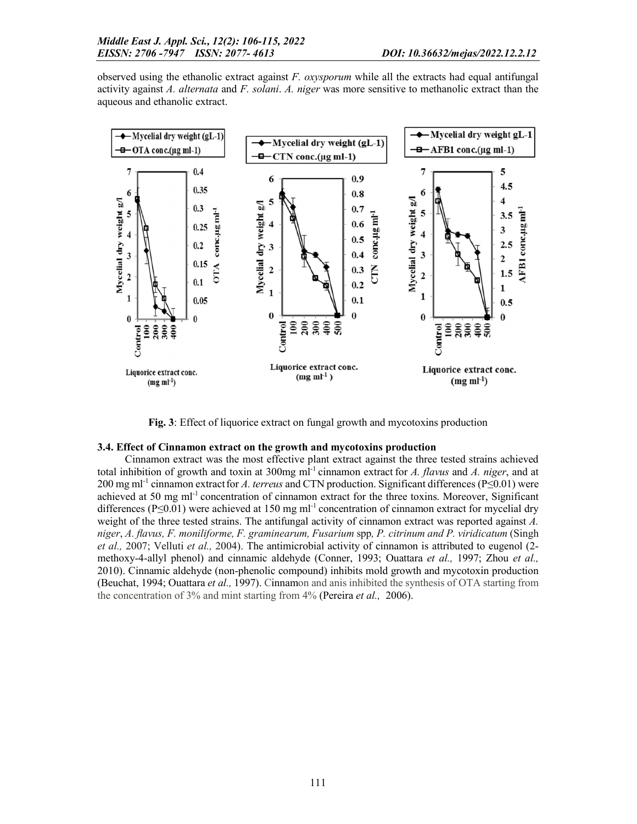observed using the ethanolic extract against *F. oxysporum* while all the extracts had equal antifungal activity against *A. alternata* and *F. solani*. *A. niger* was more sensitive to methanolic extract than the aqueous and ethanolic extract.



Fig. 3: Effect of liquorice extract on fungal growth and mycotoxins production

# 3.4. Effect of Cinnamon extract on the growth and mycotoxins production

Cinnamon extract was the most effective plant extract against the three tested strains achieved total inhibition of growth and toxin at 300mg ml-1 cinnamon extract for *A. flavus* and *A. niger*, and at 200 mg ml<sup>-1</sup> cinnamon extract for *A. terreus* and CTN production. Significant differences (P≤0.01) were achieved at 50 mg m $l^{-1}$  concentration of cinnamon extract for the three toxins. Moreover, Significant differences (P≤0.01) were achieved at 150 mg ml<sup>-1</sup> concentration of cinnamon extract for mycelial dry weight of the three tested strains. The antifungal activity of cinnamon extract was reported against *A. niger*, *A. flavus, F. moniliforme, F. graminearum, Fusarium* spp*, P. citrinum and P. viridicatum* (Singh *et al.,* 2007; Velluti *et al.,* 2004). The antimicrobial activity of cinnamon is attributed to eugenol (2 methoxy-4-allyl phenol) and cinnamic aldehyde (Conner, 1993; Ouattara *et al.,* 1997; Zhou *et al.,*  2010). Cinnamic aldehyde (non-phenolic compound) inhibits mold growth and mycotoxin production (Beuchat, 1994; Ouattara *et al.,* 1997). Cinnamon and anis inhibited the synthesis of OTA starting from the concentration of 3% and mint starting from 4% (Pereira *et al.,* 2006).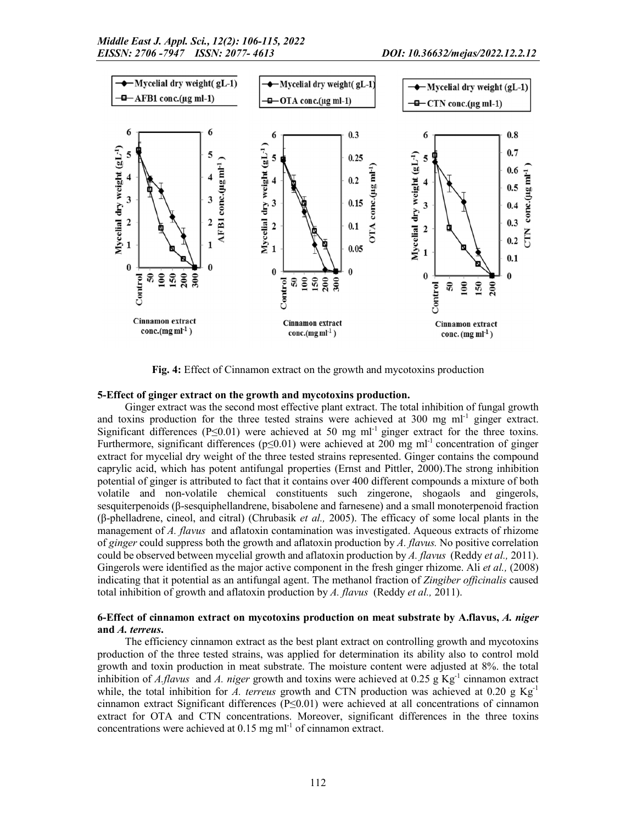

Fig. 4: Effect of Cinnamon extract on the growth and mycotoxins production

#### 5-Effect of ginger extract on the growth and mycotoxins production.

Ginger extract was the second most effective plant extract. The total inhibition of fungal growth and toxins production for the three tested strains were achieved at  $300 \text{ mg ml}^{-1}$  ginger extract. Significant differences (P≤0.01) were achieved at 50 mg ml<sup>-1</sup> ginger extract for the three toxins. Furthermore, significant differences ( $p \le 0.01$ ) were achieved at 200 mg m<sup>-1</sup> concentration of ginger extract for mycelial dry weight of the three tested strains represented. Ginger contains the compound caprylic acid, which has potent antifungal properties (Ernst and Pittler, 2000).The strong inhibition potential of ginger is attributed to fact that it contains over 400 different compounds a mixture of both volatile and non-volatile chemical constituents such zingerone, shogaols and gingerols, sesquiterpenoids (β-sesquiphellandrene, bisabolene and farnesene) and a small monoterpenoid fraction (β-phelladrene, cineol, and citral) (Chrubasik *et al.,* 2005). The efficacy of some local plants in the management of *A. flavus* and aflatoxin contamination was investigated. Aqueous extracts of rhizome of *ginger* could suppress both the growth and aflatoxin production by *A. flavus.* No positive correlation could be observed between mycelial growth and aflatoxin production by *A. flavus* (Reddy *et al.,* 2011). Gingerols were identified as the major active component in the fresh ginger rhizome. Ali *et al.,* (2008) indicating that it potential as an antifungal agent. The methanol fraction of *Zingiber officinalis* caused total inhibition of growth and aflatoxin production by *A. flavus* (Reddy *et al.,* 2011).

# 6-Effect of cinnamon extract on mycotoxins production on meat substrate by A.flavus, *A. niger* and *A. terreus*.

The efficiency cinnamon extract as the best plant extract on controlling growth and mycotoxins production of the three tested strains, was applied for determination its ability also to control mold growth and toxin production in meat substrate. The moisture content were adjusted at 8%. the total inhibition of *A.flavus* and *A. niger* growth and toxins were achieved at 0.25 g Kg<sup>-1</sup> cinnamon extract while, the total inhibition for *A. terreus* growth and CTN production was achieved at 0.20 g  $Kg^{-1}$ cinnamon extract Significant differences (P≤0.01) were achieved at all concentrations of cinnamon extract for OTA and CTN concentrations. Moreover, significant differences in the three toxins concentrations were achieved at  $0.15$  mg m $l^{-1}$  of cinnamon extract.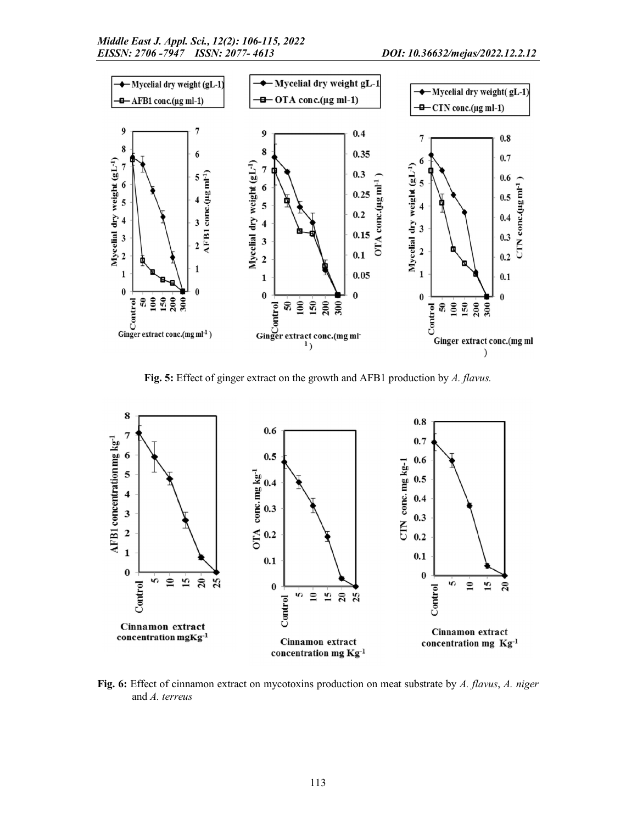

Fig. 5: Effect of ginger extract on the growth and AFB1 production by *A. flavus.*



Fig. 6: Effect of cinnamon extract on mycotoxins production on meat substrate by *A. flavus*, *A. niger* and *A. terreus*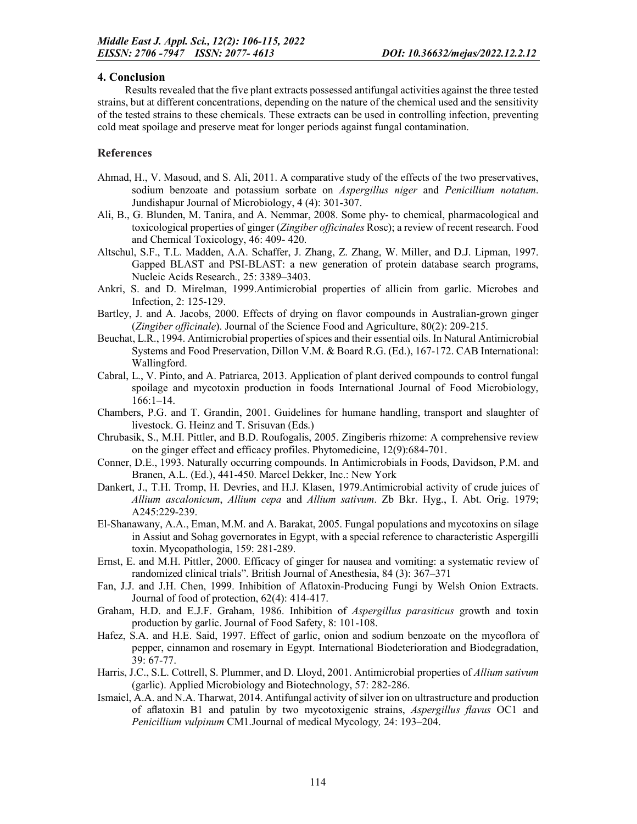# 4. Conclusion

Results revealed that the five plant extracts possessed antifungal activities against the three tested strains, but at different concentrations, depending on the nature of the chemical used and the sensitivity of the tested strains to these chemicals. These extracts can be used in controlling infection, preventing cold meat spoilage and preserve meat for longer periods against fungal contamination.

## References

- Ahmad, H., V. Masoud, and S. Ali, 2011. A comparative study of the effects of the two preservatives, sodium benzoate and potassium sorbate on *Aspergillus niger* and *Penicillium notatum*. Jundishapur Journal of Microbiology, 4 (4): 301-307.
- Ali, B., G. Blunden, M. Tanira, and A. Nemmar, 2008. Some phy- to chemical, pharmacological and toxicological properties of ginger (*Zingiber officinales* Rosc); a review of recent research. Food and Chemical Toxicology, 46: 409- 420.
- Altschul, S.F., T.L. Madden, A.A. Schaffer, J. Zhang, Z. Zhang, W. Miller, and D.J. Lipman, 1997. Gapped BLAST and PSI-BLAST: a new generation of protein database search programs, Nucleic Acids Research*.,* 25: 3389–3403.
- Ankri, S. and D. Mirelman, 1999.Antimicrobial properties of allicin from garlic. Microbes and Infection, 2: 125-129.
- Bartley, J. and A. Jacobs, 2000. Effects of drying on flavor compounds in Australian-grown ginger (*Zingiber officinale*). Journal of the Science Food and Agriculture, 80(2): 209-215.
- Beuchat, L.R., 1994. Antimicrobial properties of spices and their essential oils. In Natural Antimicrobial Systems and Food Preservation, Dillon V.M. & Board R.G. (Ed.), 167-172. CAB International: Wallingford.
- Cabral, L., V. Pinto, and A. Patriarca, 2013. Application of plant derived compounds to control fungal spoilage and mycotoxin production in foods International Journal of Food Microbiology, 166:1–14.
- Chambers, P.G. and T. Grandin, 2001. Guidelines for humane handling, transport and slaughter of livestock. G. Heinz and T. Srisuvan (Eds.)
- Chrubasik, S., M.H. Pittler, and B.D. Roufogalis, 2005. Zingiberis rhizome: A comprehensive review on the ginger effect and efficacy profiles. Phytomedicine, 12(9):684-701.
- Conner, D.E., 1993. Naturally occurring compounds. In Antimicrobials in Foods, Davidson, P.M. and Branen, A.L. (Ed.), 441-450. Marcel Dekker, Inc.: New York
- Dankert, J., T.H. Tromp, H. Devries, and H.J. Klasen, 1979.Antimicrobial activity of crude juices of *Allium ascalonicum*, *Allium cepa* and *Allium sativum*. Zb Bkr. Hyg., I. Abt. Orig. 1979; A245:229-239.
- El-Shanawany, A.A., Eman, M.M. and A. Barakat, 2005. Fungal populations and mycotoxins on silage in Assiut and Sohag governorates in Egypt, with a special reference to characteristic Aspergilli toxin. Mycopathologia, 159: 281-289.
- Ernst, E. and M.H. Pittler, 2000. Efficacy of ginger for nausea and vomiting: a systematic review of randomized clinical trials". British Journal of Anesthesia, 84 (3): 367–371
- Fan, J.J. and J.H. Chen, 1999. Inhibition of Aflatoxin-Producing Fungi by Welsh Onion Extracts. Journal of food of protection, 62(4): 414-417.
- Graham, H.D. and E.J.F. Graham, 1986. Inhibition of *Aspergillus parasiticus* growth and toxin production by garlic. Journal of Food Safety, 8: 101-108.
- Hafez, S.A. and H.E. Said, 1997. Effect of garlic, onion and sodium benzoate on the mycoflora of pepper, cinnamon and rosemary in Egypt. International Biodeterioration and Biodegradation, 39: 67-77.
- Harris, J.C., S.L. Cottrell, S. Plummer, and D. Lloyd, 2001. Antimicrobial properties of *Allium sativum*  (garlic). Applied Microbiology and Biotechnology, 57: 282-286.
- Ismaiel, A.A. and N.A. Tharwat, 2014. Antifungal activity of silver ion on ultrastructure and production of aflatoxin B1 and patulin by two mycotoxigenic strains, *Aspergillus flavus* OC1 and *Penicillium vulpinum* CM1.Journal of medical Mycology*,* 24: 193–204.